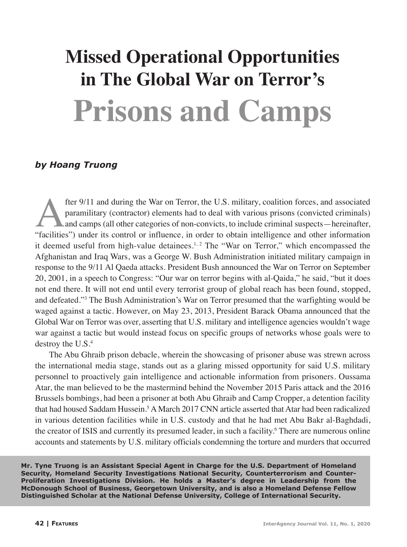# **Missed Operational Opportunities in The Global War on Terror's Prisons and Camps**

## *by Hoang Truong*

fter 9/11 and during the War on Terror, the U.S. military, coalition forces, and associated paramilitary (contractor) elements had to deal with various prisons (convicted criminals) and camps (all other categories of non-c paramilitary (contractor) elements had to deal with various prisons (convicted criminals) and camps (all other categories of non-convicts, to include criminal suspects—hereinafter, "facilities") under its control or influence, in order to obtain intelligence and other information it deemed useful from high-value detainees.<sup>1, 2</sup> The "War on Terror," which encompassed the Afghanistan and Iraq Wars, was a George W. Bush Administration initiated military campaign in response to the 9/11 Al Qaeda attacks. President Bush announced the War on Terror on September 20, 2001, in a speech to Congress: "Our war on terror begins with al-Qaida," he said, "but it does not end there. It will not end until every terrorist group of global reach has been found, stopped, and defeated."3 The Bush Administration's War on Terror presumed that the warfighting would be waged against a tactic. However, on May 23, 2013, President Barack Obama announced that the Global War on Terror was over, asserting that U.S. military and intelligence agencies wouldn't wage war against a tactic but would instead focus on specific groups of networks whose goals were to destroy the U.S.<sup>4</sup>

The Abu Ghraib prison debacle, wherein the showcasing of prisoner abuse was strewn across the international media stage, stands out as a glaring missed opportunity for said U.S. military personnel to proactively gain intelligence and actionable information from prisoners. Oussama Atar, the man believed to be the mastermind behind the November 2015 Paris attack and the 2016 Brussels bombings, had been a prisoner at both Abu Ghraib and Camp Cropper, a detention facility that had housed Saddam Hussein.<sup>5</sup> A March 2017 CNN article asserted that Atar had been radicalized in various detention facilities while in U.S. custody and that he had met Abu Bakr al-Baghdadi, the creator of ISIS and currently its presumed leader, in such a facility.<sup>6</sup> There are numerous online accounts and statements by U.S. military officials condemning the torture and murders that occurred

**Mr. Tyne Truong is an Assistant Special Agent in Charge for the U.S. Department of Homeland Security, Homeland Security Investigations National Security, Counterterrorism and Counter-Proliferation Investigations Division. He holds a Master's degree in Leadership from the McDonough School of Business, Georgetown University, and is also a Homeland Defense Fellow Distinguished Scholar at the National Defense University, College of International Security.**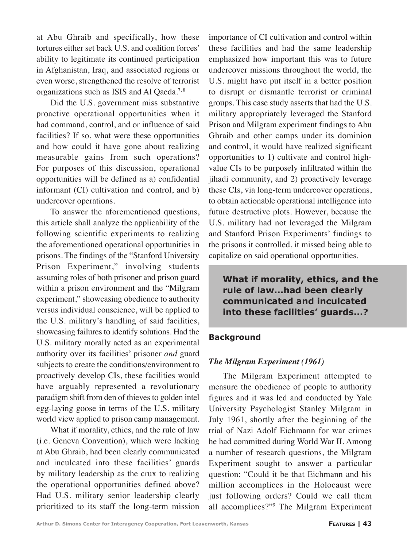at Abu Ghraib and specifically, how these tortures either set back U.S. and coalition forces' ability to legitimate its continued participation in Afghanistan, Iraq, and associated regions or even worse, strengthened the resolve of terrorist organizations such as ISIS and Al Qaeda.<sup>7,8</sup>

Did the U.S. government miss substantive proactive operational opportunities when it had command, control, and or influence of said facilities? If so, what were these opportunities and how could it have gone about realizing measurable gains from such operations? For purposes of this discussion, operational opportunities will be defined as a) confidential informant (CI) cultivation and control, and b) undercover operations.

To answer the aforementioned questions, this article shall analyze the applicability of the following scientific experiments to realizing the aforementioned operational opportunities in prisons. The findings of the "Stanford University Prison Experiment," involving students assuming roles of both prisoner and prison guard within a prison environment and the "Milgram experiment," showcasing obedience to authority versus individual conscience, will be applied to the U.S. military's handling of said facilities, showcasing failures to identify solutions. Had the U.S. military morally acted as an experimental authority over its facilities' prisoner *and* guard subjects to create the conditions/environment to proactively develop CIs, these facilities would have arguably represented a revolutionary paradigm shift from den of thieves to golden intel egg-laying goose in terms of the U.S. military world view applied to prison camp management.

What if morality, ethics, and the rule of law (i.e. Geneva Convention), which were lacking at Abu Ghraib, had been clearly communicated and inculcated into these facilities' guards by military leadership as the crux to realizing the operational opportunities defined above? Had U.S. military senior leadership clearly prioritized to its staff the long-term mission

importance of CI cultivation and control within these facilities and had the same leadership emphasized how important this was to future undercover missions throughout the world, the U.S. might have put itself in a better position to disrupt or dismantle terrorist or criminal groups. This case study asserts that had the U.S. military appropriately leveraged the Stanford Prison and Milgram experiment findings to Abu Ghraib and other camps under its dominion and control, it would have realized significant opportunities to 1) cultivate and control highvalue CIs to be purposely infiltrated within the jihadi community, and 2) proactively leverage these CIs, via long-term undercover operations, to obtain actionable operational intelligence into future destructive plots. However, because the U.S. military had not leveraged the Milgram and Stanford Prison Experiments' findings to the prisons it controlled, it missed being able to capitalize on said operational opportunities.

**What if morality, ethics, and the rule of law...had been clearly communicated and inculcated into these facilities' guards...?**

## **Background**

## *The Milgram Experiment (1961)*

The Milgram Experiment attempted to measure the obedience of people to authority figures and it was led and conducted by Yale University Psychologist Stanley Milgram in July 1961, shortly after the beginning of the trial of Nazi Adolf Eichmann for war crimes he had committed during World War II. Among a number of research questions, the Milgram Experiment sought to answer a particular question: "Could it be that Eichmann and his million accomplices in the Holocaust were just following orders? Could we call them all accomplices?"9 The Milgram Experiment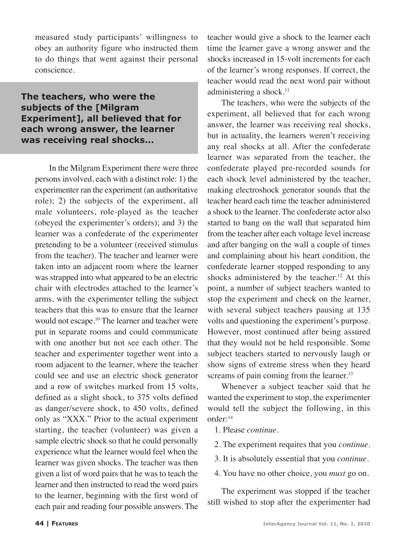measured study participants' willingness to obey an authority figure who instructed them to do things that went against their personal conscience.

**The teachers, who were the subjects of the [Milgram Experiment], all believed that for each wrong answer, the learner was receiving real shocks...**

In the Milgram Experiment there were three persons involved, each with a distinct role: 1) the experimenter ran the experiment (an authoritative role); 2) the subjects of the experiment, all male volunteers, role-played as the teacher (obeyed the experimenter's orders); and 3) the learner was a confederate of the experimenter pretending to be a volunteer (received stimulus from the teacher). The teacher and learner were taken into an adjacent room where the learner was strapped into what appeared to be an electric chair with electrodes attached to the learner's arms, with the experimenter telling the subject teachers that this was to ensure that the learner would not escape.10 The learner and teacher were put in separate rooms and could communicate with one another but not see each other. The teacher and experimenter together went into a room adjacent to the learner, where the teacher could see and use an electric shock generator and a row of switches marked from 15 volts, defined as a slight shock, to 375 volts defined as danger/severe shock, to 450 volts, defined only as "XXX." Prior to the actual experiment starting, the teacher (volunteer) was given a sample electric shock so that he could personally experience what the learner would feel when the learner was given shocks. The teacher was then given a list of word pairs that he was to teach the learner and then instructed to read the word pairs to the learner, beginning with the first word of each pair and reading four possible answers. The teacher would give a shock to the learner each time the learner gave a wrong answer and the shocks increased in 15-volt increments for each of the learner's wrong responses. If correct, the teacher would read the next word pair without administering a shock.<sup>11</sup>

The teachers, who were the subjects of the experiment, all believed that for each wrong answer, the learner was receiving real shocks, but in actuality, the learners weren't receiving any real shocks at all. After the confederate learner was separated from the teacher, the confederate played pre-recorded sounds for each shock level administered by the teacher, making electroshock generator sounds that the teacher heard each time the teacher administered a shock to the learner. The confederate actor also started to bang on the wall that separated him from the teacher after each voltage level increase and after banging on the wall a couple of times and complaining about his heart condition, the confederate learner stopped responding to any shocks administered by the teacher.<sup>12</sup> At this point, a number of subject teachers wanted to stop the experiment and check on the learner, with several subject teachers pausing at 135 volts and questioning the experiment's purpose. However, most continued after being assured that they would not be held responsible. Some subject teachers started to nervously laugh or show signs of extreme stress when they heard screams of pain coming from the learner.<sup>13</sup>

Whenever a subject teacher said that he wanted the experiment to stop, the experimenter would tell the subject the following, in this order:14

- 1. Please *continue*.
- 2. The experiment requires that you *continue*.
- 3. It is absolutely essential that you *continue*.
- 4. You have no other choice, you *must* go on.

The experiment was stopped if the teacher still wished to stop after the experimenter had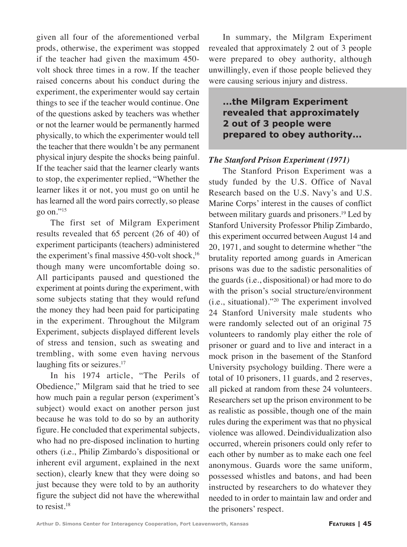given all four of the aforementioned verbal prods, otherwise, the experiment was stopped if the teacher had given the maximum 450 volt shock three times in a row. If the teacher raised concerns about his conduct during the experiment, the experimenter would say certain things to see if the teacher would continue. One of the questions asked by teachers was whether or not the learner would be permanently harmed physically, to which the experimenter would tell the teacher that there wouldn't be any permanent physical injury despite the shocks being painful. If the teacher said that the learner clearly wants to stop, the experimenter replied, "Whether the learner likes it or not, you must go on until he has learned all the word pairs correctly, so please go on."15

The first set of Milgram Experiment results revealed that 65 percent (26 of 40) of experiment participants (teachers) administered the experiment's final massive  $450$ -volt shock,<sup>16</sup> though many were uncomfortable doing so. All participants paused and questioned the experiment at points during the experiment, with some subjects stating that they would refund the money they had been paid for participating in the experiment. Throughout the Milgram Experiment, subjects displayed different levels of stress and tension, such as sweating and trembling, with some even having nervous laughing fits or seizures.<sup>17</sup>

In his 1974 article, "The Perils of Obedience," Milgram said that he tried to see how much pain a regular person (experiment's subject) would exact on another person just because he was told to do so by an authority figure. He concluded that experimental subjects, who had no pre-disposed inclination to hurting others (i.e., Philip Zimbardo's dispositional or inherent evil argument, explained in the next section), clearly knew that they were doing so just because they were told to by an authority figure the subject did not have the wherewithal to resist*.* 18

In summary, the Milgram Experiment revealed that approximately 2 out of 3 people were prepared to obey authority, although unwillingly, even if those people believed they were causing serious injury and distress.

## **...the Milgram Experiment revealed that approximately 2 out of 3 people were prepared to obey authority...**

## *The Stanford Prison Experiment (1971)*

The Stanford Prison Experiment was a study funded by the U.S. Office of Naval Research based on the U.S. Navy's and U.S. Marine Corps' interest in the causes of conflict between military guards and prisoners.19 Led by Stanford University Professor Philip Zimbardo, this experiment occurred between August 14 and 20, 1971, and sought to determine whether "the brutality reported among guards in American prisons was due to the sadistic personalities of the guards (i.e., dispositional) or had more to do with the prison's social structure/environment (i.e., situational)."20 The experiment involved 24 Stanford University male students who were randomly selected out of an original 75 volunteers to randomly play either the role of prisoner or guard and to live and interact in a mock prison in the basement of the Stanford University psychology building. There were a total of 10 prisoners, 11 guards, and 2 reserves, all picked at random from these 24 volunteers. Researchers set up the prison environment to be as realistic as possible, though one of the main rules during the experiment was that no physical violence was allowed. Deindividualization also occurred, wherein prisoners could only refer to each other by number as to make each one feel anonymous. Guards wore the same uniform, possessed whistles and batons, and had been instructed by researchers to do whatever they needed to in order to maintain law and order and the prisoners' respect.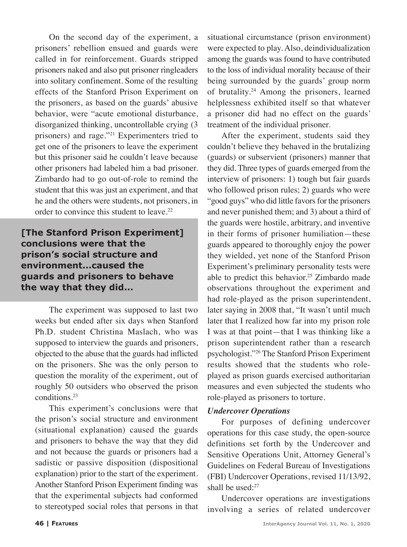On the second day of the experiment, a prisoners' rebellion ensued and guards were called in for reinforcement. Guards stripped prisoners naked and also put prisoner ringleaders into solitary confinement. Some of the resulting effects of the Stanford Prison Experiment on the prisoners, as based on the guards' abusive behavior, were "acute emotional disturbance, disorganized thinking, uncontrollable crying (3 prisoners) and rage."21 Experimenters tried to get one of the prisoners to leave the experiment but this prisoner said he couldn't leave because other prisoners had labeled him a bad prisoner. Zimbardo had to go out-of-role to remind the student that this was just an experiment, and that he and the others were students, not prisoners, in order to convince this student to leave.<sup>22</sup>

**[The Stanford Prison Experiment] conclusions were that the prison's social structure and environment...caused the guards and prisoners to behave the way that they did...**

The experiment was supposed to last two weeks but ended after six days when Stanford Ph.D. student Christina Maslach, who was supposed to interview the guards and prisoners, objected to the abuse that the guards had inflicted on the prisoners. She was the only person to question the morality of the experiment, out of roughly 50 outsiders who observed the prison conditions.23

This experiment's conclusions were that the prison's social structure and environment (situational explanation) caused the guards and prisoners to behave the way that they did and not because the guards or prisoners had a sadistic or passive disposition (dispositional explanation) prior to the start of the experiment. Another Stanford Prison Experiment finding was that the experimental subjects had conformed to stereotyped social roles that persons in that

situational circumstance (prison environment) were expected to play. Also, deindividualization among the guards was found to have contributed to the loss of individual morality because of their being surrounded by the guards' group norm of brutality.24 Among the prisoners, learned helplessness exhibited itself so that whatever a prisoner did had no effect on the guards' treatment of the individual prisoner.

After the experiment, students said they couldn't believe they behaved in the brutalizing (guards) or subservient (prisoners) manner that they did. Three types of guards emerged from the interview of prisoners: 1) tough but fair guards who followed prison rules; 2) guards who were "good guys" who did little favors for the prisoners and never punished them; and 3) about a third of the guards were hostile, arbitrary, and inventive in their forms of prisoner humiliation—these guards appeared to thoroughly enjoy the power they wielded, yet none of the Stanford Prison Experiment's preliminary personality tests were able to predict this behavior.25 Zimbardo made observations throughout the experiment and had role-played as the prison superintendent, later saying in 2008 that, "It wasn't until much later that I realized how far into my prison role I was at that point—that I was thinking like a prison superintendent rather than a research psychologist."26 The Stanford Prison Experiment results showed that the students who roleplayed as prison guards exercised authoritarian measures and even subjected the students who role-played as prisoners to torture.

## *Undercover Operations*

For purposes of defining undercover operations for this case study, the open-source definitions set forth by the Undercover and Sensitive Operations Unit, Attorney General's Guidelines on Federal Bureau of Investigations (FBI) Undercover Operations, revised 11/13/92, shall be used: $27$ 

Undercover operations are investigations involving a series of related undercover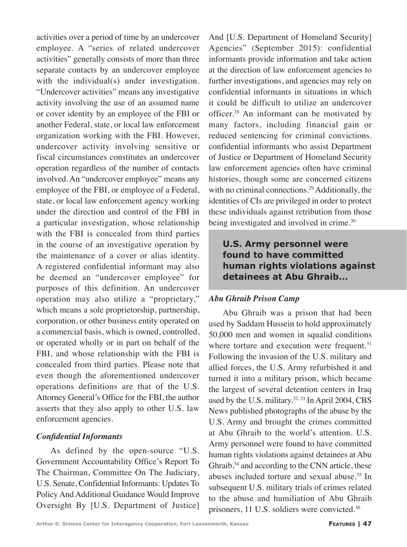activities over a period of time by an undercover employee. A "series of related undercover activities" generally consists of more than three separate contacts by an undercover employee with the individual(s) under investigation. "Undercover activities" means any investigative activity involving the use of an assumed name or cover identity by an employee of the FBI or another Federal, state, or local law enforcement organization working with the FBI. However, undercover activity involving sensitive or fiscal circumstances constitutes an undercover operation regardless of the number of contacts involved. An "undercover employee" means any employee of the FBI, or employee of a Federal, state, or local law enforcement agency working under the direction and control of the FBI in a particular investigation, whose relationship with the FBI is concealed from third parties in the course of an investigative operation by the maintenance of a cover or alias identity. A registered confidential informant may also be deemed an "undercover employee" for purposes of this definition. An undercover operation may also utilize a "proprietary," which means a sole proprietorship, partnership, corporation, or other business entity operated on a commercial basis, which is owned, controlled, or operated wholly or in part on behalf of the FBI, and whose relationship with the FBI is concealed from third parties. Please note that even though the aforementioned undercover operations definitions are that of the U.S. Attorney General's Office for the FBI, the author asserts that they also apply to other U.S. law enforcement agencies.

## *Confidential Informants*

As defined by the open-source "U.S. Government Accountability Office's Report To The Chairman, Committee On The Judiciary, U.S. Senate, Confidential Informants: Updates To Policy And Additional Guidance Would Improve Oversight By [U.S. Department of Justice]

And [U.S. Department of Homeland Security] Agencies" (September 2015): confidential informants provide information and take action at the direction of law enforcement agencies to further investigations, and agencies may rely on confidential informants in situations in which it could be difficult to utilize an undercover officer.28 An informant can be motivated by many factors, including financial gain or reduced sentencing for criminal convictions. confidential informants who assist Department of Justice or Department of Homeland Security law enforcement agencies often have criminal histories, though some are concerned citizens with no criminal connections.<sup>29</sup> Additionally, the identities of CIs are privileged in order to protect these individuals against retribution from those being investigated and involved in crime.<sup>30</sup>

**U.S. Army personnel were found to have committed human rights violations against detainees at Abu Ghraib...**

## *Abu Ghraib Prison Camp*

Abu Ghraib was a prison that had been used by Saddam Hussein to hold approximately 50,000 men and women in squalid conditions where torture and execution were frequent.<sup>31</sup> Following the invasion of the U.S. military and allied forces, the U.S. Army refurbished it and turned it into a military prison, which became the largest of several detention centers in Iraq used by the U.S. military. $32, 33$  In April 2004, CBS News published photographs of the abuse by the U.S. Army and brought the crimes committed at Abu Ghraib to the world's attention. U.S. Army personnel were found to have committed human rights violations against detainees at Abu Ghraib, $34$  and according to the CNN article, these abuses included torture and sexual abuse.35 In subsequent U.S. military trials of crimes related to the abuse and humiliation of Abu Ghraib prisoners, 11 U.S. soldiers were convicted.36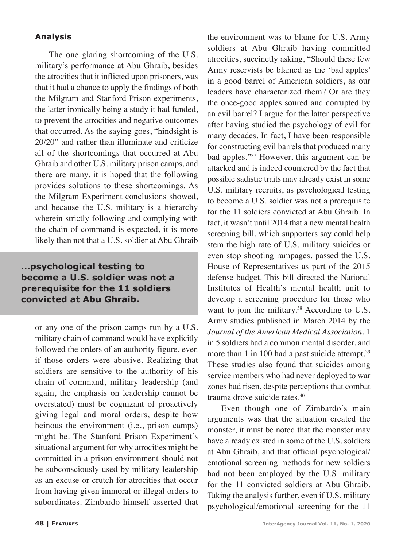## **Analysis**

The one glaring shortcoming of the U.S. military's performance at Abu Ghraib, besides the atrocities that it inflicted upon prisoners, was that it had a chance to apply the findings of both the Milgram and Stanford Prison experiments, the latter ironically being a study it had funded, to prevent the atrocities and negative outcomes that occurred. As the saying goes, "hindsight is 20/20" and rather than illuminate and criticize all of the shortcomings that occurred at Abu Ghraib and other U.S. military prison camps, and there are many, it is hoped that the following provides solutions to these shortcomings. As the Milgram Experiment conclusions showed, and because the U.S. military is a hierarchy wherein strictly following and complying with the chain of command is expected, it is more likely than not that a U.S. soldier at Abu Ghraib

# **...psychological testing to become a U.S. soldier was not a prerequisite for the 11 soldiers convicted at Abu Ghraib.**

or any one of the prison camps run by a U.S. military chain of command would have explicitly followed the orders of an authority figure, even if those orders were abusive. Realizing that soldiers are sensitive to the authority of his chain of command, military leadership (and again, the emphasis on leadership cannot be overstated) must be cognizant of proactively giving legal and moral orders, despite how heinous the environment (i.e., prison camps) might be. The Stanford Prison Experiment's situational argument for why atrocities might be committed in a prison environment should not be subconsciously used by military leadership as an excuse or crutch for atrocities that occur from having given immoral or illegal orders to subordinates. Zimbardo himself asserted that

the environment was to blame for U.S. Army soldiers at Abu Ghraib having committed atrocities, succinctly asking, "Should these few Army reservists be blamed as the 'bad apples' in a good barrel of American soldiers, as our leaders have characterized them? Or are they the once-good apples soured and corrupted by an evil barrel? I argue for the latter perspective after having studied the psychology of evil for many decades. In fact, I have been responsible for constructing evil barrels that produced many bad apples."37 However, this argument can be attacked and is indeed countered by the fact that possible sadistic traits may already exist in some U.S. military recruits, as psychological testing to become a U.S. soldier was not a prerequisite for the 11 soldiers convicted at Abu Ghraib. In fact, it wasn't until 2014 that a new mental health screening bill, which supporters say could help stem the high rate of U.S. military suicides or even stop shooting rampages, passed the U.S. House of Representatives as part of the 2015 defense budget. This bill directed the National Institutes of Health's mental health unit to develop a screening procedure for those who want to join the military.<sup>38</sup> According to U.S. Army studies published in March 2014 by the *Journal of the American Medical Association*, 1 in 5 soldiers had a common mental disorder, and more than 1 in 100 had a past suicide attempt.<sup>39</sup> These studies also found that suicides among service members who had never deployed to war zones had risen, despite perceptions that combat trauma drove suicide rates.40

Even though one of Zimbardo's main arguments was that the situation created the monster, it must be noted that the monster may have already existed in some of the U.S. soldiers at Abu Ghraib, and that official psychological/ emotional screening methods for new soldiers had not been employed by the U.S. military for the 11 convicted soldiers at Abu Ghraib. Taking the analysis further, even if U.S. military psychological/emotional screening for the 11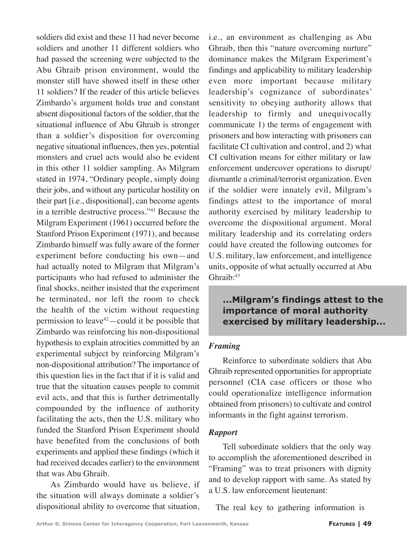soldiers did exist and these 11 had never become soldiers and another 11 different soldiers who had passed the screening were subjected to the Abu Ghraib prison environment, would the monster still have showed itself in these other 11 soldiers? If the reader of this article believes Zimbardo's argument holds true and constant absent dispositional factors of the soldier, that the situational influence of Abu Ghraib is stronger than a soldier's disposition for overcoming negative situational influences, then yes, potential monsters and cruel acts would also be evident in this other 11 soldier sampling. As Milgram stated in 1974, "Ordinary people, simply doing their jobs, and without any particular hostility on their part [i.e., dispositional], can become agents in a terrible destructive process."41 Because the Milgram Experiment (1961) occurred before the Stanford Prison Experiment (1971), and because Zimbardo himself was fully aware of the former experiment before conducting his own—and had actually noted to Milgram that Milgram's participants who had refused to administer the final shocks, neither insisted that the experiment be terminated, nor left the room to check the health of the victim without requesting permission to leave $42$  -could it be possible that Zimbardo was reinforcing his non-dispositional hypothesis to explain atrocities committed by an experimental subject by reinforcing Milgram's non-dispositional attribution? The importance of this question lies in the fact that if it is valid and true that the situation causes people to commit evil acts, and that this is further detrimentally compounded by the influence of authority facilitating the acts, then the U.S. military who funded the Stanford Prison Experiment should have benefited from the conclusions of both experiments and applied these findings (which it had received decades earlier) to the environment that was Abu Ghraib.

As Zimbardo would have us believe, if the situation will always dominate a soldier's dispositional ability to overcome that situation, i.e., an environment as challenging as Abu Ghraib, then this "nature overcoming nurture" dominance makes the Milgram Experiment's findings and applicability to military leadership even more important because military leadership's cognizance of subordinates' sensitivity to obeying authority allows that leadership to firmly and unequivocally communicate 1) the terms of engagement with prisoners and how interacting with prisoners can facilitate CI cultivation and control, and 2) what CI cultivation means for either military or law enforcement undercover operations to disrupt/ dismantle a criminal/terrorist organization. Even if the soldier were innately evil, Milgram's findings attest to the importance of moral authority exercised by military leadership to overcome the dispositional argument. Moral military leadership and its correlating orders could have created the following outcomes for U.S. military, law enforcement, and intelligence units, opposite of what actually occurred at Abu Ghraib:43

# **...Milgram's findings attest to the importance of moral authority exercised by military leadership...**

## *Framing*

Reinforce to subordinate soldiers that Abu Ghraib represented opportunities for appropriate personnel (CIA case officers or those who could operationalize intelligence information obtained from prisoners) to cultivate and control informants in the fight against terrorism.

## *Rapport*

Tell subordinate soldiers that the only way to accomplish the aforementioned described in "Framing" was to treat prisoners with dignity and to develop rapport with same. As stated by a U.S. law enforcement lieutenant:

The real key to gathering information is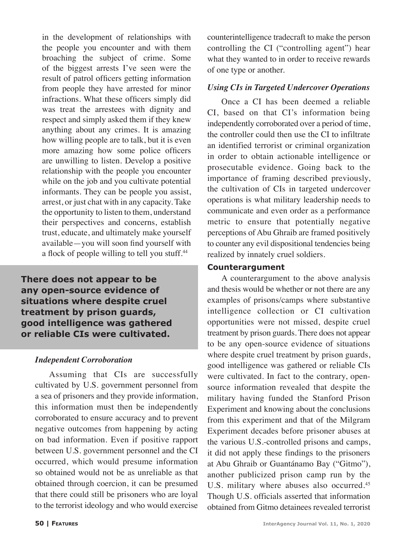in the development of relationships with the people you encounter and with them broaching the subject of crime. Some of the biggest arrests I've seen were the result of patrol officers getting information from people they have arrested for minor infractions. What these officers simply did was treat the arrestees with dignity and respect and simply asked them if they knew anything about any crimes. It is amazing how willing people are to talk, but it is even more amazing how some police officers are unwilling to listen. Develop a positive relationship with the people you encounter while on the job and you cultivate potential informants. They can be people you assist, arrest, or just chat with in any capacity. Take the opportunity to listen to them, understand their perspectives and concerns, establish trust, educate, and ultimately make yourself available—you will soon find yourself with a flock of people willing to tell you stuff.<sup>44</sup>

**There does not appear to be any open-source evidence of situations where despite cruel treatment by prison guards, good intelligence was gathered or reliable CIs were cultivated.**

## *Independent Corroboration*

Assuming that CIs are successfully cultivated by U.S. government personnel from a sea of prisoners and they provide information, this information must then be independently corroborated to ensure accuracy and to prevent negative outcomes from happening by acting on bad information. Even if positive rapport between U.S. government personnel and the CI occurred, which would presume information so obtained would not be as unreliable as that obtained through coercion, it can be presumed that there could still be prisoners who are loyal to the terrorist ideology and who would exercise counterintelligence tradecraft to make the person controlling the CI ("controlling agent") hear what they wanted to in order to receive rewards of one type or another.

## *Using CIs in Targeted Undercover Operations*

Once a CI has been deemed a reliable CI, based on that CI's information being independently corroborated over a period of time, the controller could then use the CI to infiltrate an identified terrorist or criminal organization in order to obtain actionable intelligence or prosecutable evidence. Going back to the importance of framing described previously, the cultivation of CIs in targeted undercover operations is what military leadership needs to communicate and even order as a performance metric to ensure that potentially negative perceptions of Abu Ghraib are framed positively to counter any evil dispositional tendencies being realized by innately cruel soldiers.

## **Counterargument**

A counterargument to the above analysis and thesis would be whether or not there are any examples of prisons/camps where substantive intelligence collection or CI cultivation opportunities were not missed, despite cruel treatment by prison guards. There does not appear to be any open-source evidence of situations where despite cruel treatment by prison guards, good intelligence was gathered or reliable CIs were cultivated. In fact to the contrary, opensource information revealed that despite the military having funded the Stanford Prison Experiment and knowing about the conclusions from this experiment and that of the Milgram Experiment decades before prisoner abuses at the various U.S.-controlled prisons and camps, it did not apply these findings to the prisoners at Abu Ghraib or Guantánamo Bay ("Gitmo"), another publicized prison camp run by the U.S. military where abuses also occurred.<sup>45</sup> Though U.S. officials asserted that information obtained from Gitmo detainees revealed terrorist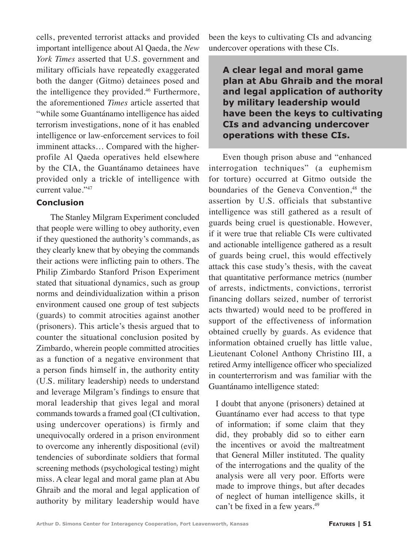cells, prevented terrorist attacks and provided important intelligence about Al Qaeda, the *New York Times* asserted that U.S. government and military officials have repeatedly exaggerated both the danger (Gitmo) detainees posed and the intelligence they provided.46 Furthermore, the aforementioned *Times* article asserted that "while some Guantánamo intelligence has aided terrorism investigations, none of it has enabled intelligence or law-enforcement services to foil imminent attacks… Compared with the higherprofile Al Qaeda operatives held elsewhere by the CIA, the Guantánamo detainees have provided only a trickle of intelligence with current value."47

## **Conclusion**

The Stanley Milgram Experiment concluded that people were willing to obey authority, even if they questioned the authority's commands, as they clearly knew that by obeying the commands their actions were inflicting pain to others. The Philip Zimbardo Stanford Prison Experiment stated that situational dynamics, such as group norms and deindividualization within a prison environment caused one group of test subjects (guards) to commit atrocities against another (prisoners). This article's thesis argued that to counter the situational conclusion posited by Zimbardo, wherein people committed atrocities as a function of a negative environment that a person finds himself in, the authority entity (U.S. military leadership) needs to understand and leverage Milgram's findings to ensure that moral leadership that gives legal and moral commands towards a framed goal (CI cultivation, using undercover operations) is firmly and unequivocally ordered in a prison environment to overcome any inherently dispositional (evil) tendencies of subordinate soldiers that formal screening methods (psychological testing) might miss. A clear legal and moral game plan at Abu Ghraib and the moral and legal application of authority by military leadership would have

been the keys to cultivating CIs and advancing undercover operations with these CIs.

# **A clear legal and moral game plan at Abu Ghraib and the moral and legal application of authority by military leadership would have been the keys to cultivating CIs and advancing undercover operations with these CIs.**

Even though prison abuse and "enhanced interrogation techniques" (a euphemism for torture) occurred at Gitmo outside the boundaries of the Geneva Convention,<sup>48</sup> the assertion by U.S. officials that substantive intelligence was still gathered as a result of guards being cruel is questionable. However, if it were true that reliable CIs were cultivated and actionable intelligence gathered as a result of guards being cruel, this would effectively attack this case study's thesis, with the caveat that quantitative performance metrics (number of arrests, indictments, convictions, terrorist financing dollars seized, number of terrorist acts thwarted) would need to be proffered in support of the effectiveness of information obtained cruelly by guards. As evidence that information obtained cruelly has little value, Lieutenant Colonel Anthony Christino III, a retired Army intelligence officer who specialized in counterterrorism and was familiar with the Guantánamo intelligence stated:

I doubt that anyone (prisoners) detained at Guantánamo ever had access to that type of information; if some claim that they did, they probably did so to either earn the incentives or avoid the maltreatment that General Miller instituted. The quality of the interrogations and the quality of the analysis were all very poor. Efforts were made to improve things, but after decades of neglect of human intelligence skills, it can't be fixed in a few years.<sup>49</sup>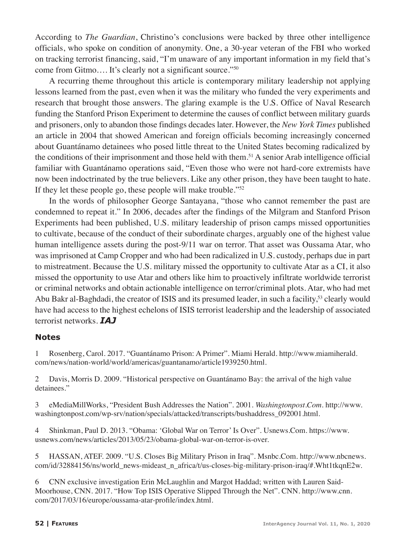According to *The Guardian*, Christino's conclusions were backed by three other intelligence officials, who spoke on condition of anonymity. One, a 30-year veteran of the FBI who worked on tracking terrorist financing, said, "I'm unaware of any important information in my field that's come from Gitmo…. It's clearly not a significant source."50

A recurring theme throughout this article is contemporary military leadership not applying lessons learned from the past, even when it was the military who funded the very experiments and research that brought those answers. The glaring example is the U.S. Office of Naval Research funding the Stanford Prison Experiment to determine the causes of conflict between military guards and prisoners, only to abandon those findings decades later. However, the *New York Times* published an article in 2004 that showed American and foreign officials becoming increasingly concerned about Guantánamo detainees who posed little threat to the United States becoming radicalized by the conditions of their imprisonment and those held with them.51 A senior Arab intelligence official familiar with Guantánamo operations said, "Even those who were not hard-core extremists have now been indoctrinated by the true believers. Like any other prison, they have been taught to hate. If they let these people go, these people will make trouble."52

In the words of philosopher George Santayana, "those who cannot remember the past are condemned to repeat it." In 2006, decades after the findings of the Milgram and Stanford Prison Experiments had been published, U.S. military leadership of prison camps missed opportunities to cultivate, because of the conduct of their subordinate charges, arguably one of the highest value human intelligence assets during the post-9/11 war on terror. That asset was Oussama Atar, who was imprisoned at Camp Cropper and who had been radicalized in U.S. custody, perhaps due in part to mistreatment. Because the U.S. military missed the opportunity to cultivate Atar as a CI, it also missed the opportunity to use Atar and others like him to proactively infiltrate worldwide terrorist or criminal networks and obtain actionable intelligence on terror/criminal plots. Atar, who had met Abu Bakr al-Baghdadi, the creator of ISIS and its presumed leader, in such a facility,<sup>53</sup> clearly would have had access to the highest echelons of ISIS terrorist leadership and the leadership of associated terrorist networks. *IAJ*

#### **Notes**

1 Rosenberg, Carol. 2017. "Guantánamo Prison: A Primer". Miami Herald. http://www.miamiherald. com/news/nation-world/world/americas/guantanamo/article1939250.html.

2 Davis, Morris D. 2009. "Historical perspective on Guantánamo Bay: the arrival of the high value detainees."

3 eMediaMillWorks, "President Bush Addresses the Nation". 2001. *Washingtonpost.Com*. http://www. washingtonpost.com/wp-srv/nation/specials/attacked/transcripts/bushaddress\_092001.html.

4 Shinkman, Paul D. 2013. "Obama: 'Global War on Terror' Is Over". Usnews.Com. https://www. usnews.com/news/articles/2013/05/23/obama-global-war-on-terror-is-over.

5 HASSAN, ATEF. 2009. "U.S. Closes Big Military Prison in Iraq". Msnbc.Com. http://www.nbcnews. com/id/32884156/ns/world\_news-mideast\_n\_africa/t/us-closes-big-military-prison-iraq/#.Wht1tkqnE2w.

6 CNN exclusive investigation Erin McLaughlin and Margot Haddad; written with Lauren Said-Moorhouse, CNN. 2017. "How Top ISIS Operative Slipped Through the Net". CNN. http://www.cnn. com/2017/03/16/europe/oussama-atar-profile/index.html.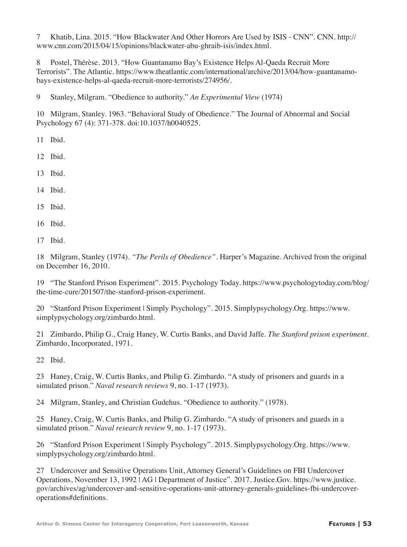7 Khatib, Lina. 2015. "How Blackwater And Other Horrors Are Used by ISIS - CNN". CNN. http:// www.cnn.com/2015/04/15/opinions/blackwater-abu-ghraib-isis/index.html.

8 Postel, Thérèse. 2013. "How Guantanamo Bay's Existence Helps Al-Qaeda Recruit More Terrorists". The Atlantic. https://www.theatlantic.com/international/archive/2013/04/how-guantanamobays-existence-helps-al-qaeda-recruit-more-terrorists/274956/.

9 Stanley, Milgram. "Obedience to authority." *An Experimental View* (1974)

10 Milgram, Stanley. 1963. "Behavioral Study of Obedience." The Journal of Abnormal and Social Psychology 67 (4): 371-378. doi:10.1037/h0040525.

11 Ibid.

12 Ibid.

13 Ibid.

14 Ibid.

15 Ibid.

16 Ibid.

17 Ibid.

18 Milgram, Stanley (1974). *"The Perils of Obedience"*. Harper's Magazine. Archived from the original on December 16, 2010*.*

19 "The Stanford Prison Experiment". 2015. Psychology Today. https://www.psychologytoday.com/blog/ the-time-cure/201507/the-stanford-prison-experiment.

20 "Stanford Prison Experiment | Simply Psychology". 2015. Simplypsychology.Org. https://www. simplypsychology.org/zimbardo.html.

21 Zimbardo, Philip G., Craig Haney, W. Curtis Banks, and David Jaffe. *The Stanford prison experiment*. Zimbardo, Incorporated, 1971.

22 Ibid.

23 Haney, Craig, W. Curtis Banks, and Philip G. Zimbardo. "A study of prisoners and guards in a simulated prison." *Naval research reviews* 9, no. 1-17 (1973).

24 Milgram, Stanley, and Christian Gudehus. "Obedience to authority." (1978).

25 Haney, Craig, W. Curtis Banks, and Philip G. Zimbardo. "A study of prisoners and guards in a simulated prison." *Naval research review* 9, no. 1-17 (1973).

26 "Stanford Prison Experiment | Simply Psychology". 2015. Simplypsychology.Org. https://www. simplypsychology.org/zimbardo.html.

27 Undercover and Sensitive Operations Unit, Attorney General's Guidelines on FBI Undercover Operations, November 13, 1992 | AG | Department of Justice". 2017. Justice.Gov. https://www.justice. gov/archives/ag/undercover-and-sensitive-operations-unit-attorney-generals-guidelines-fbi-undercoveroperations#definitions.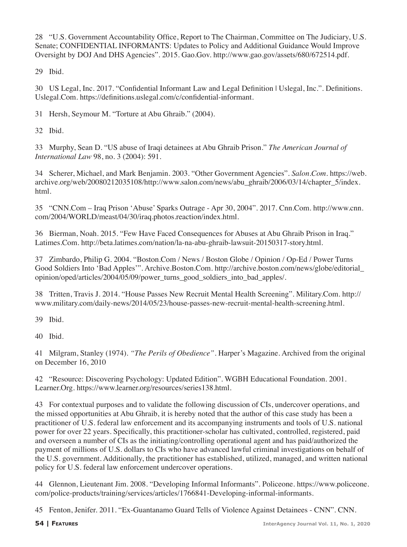28 "U.S. Government Accountability Office, Report to The Chairman, Committee on The Judiciary, U.S. Senate; CONFIDENTIAL INFORMANTS: Updates to Policy and Additional Guidance Would Improve Oversight by DOJ And DHS Agencies". 2015. Gao.Gov. http://www.gao.gov/assets/680/672514.pdf.

29 Ibid.

30 US Legal, Inc. 2017. "Confidential Informant Law and Legal Definition | Uslegal, Inc.". Definitions. Uslegal.Com. https://definitions.uslegal.com/c/confidential-informant.

31 Hersh, Seymour M. "Torture at Abu Ghraib." (2004).

32 Ibid.

33 Murphy, Sean D. "US abuse of Iraqi detainees at Abu Ghraib Prison." *The American Journal of International Law* 98, no. 3 (2004): 591.

34 Scherer, Michael, and Mark Benjamin. 2003. "Other Government Agencies". *Salon.Com*. https://web. archive.org/web/20080212035108/http://www.salon.com/news/abu\_ghraib/2006/03/14/chapter\_5/index. html.

35 "CNN.Com – Iraq Prison 'Abuse' Sparks Outrage - Apr 30, 2004". 2017. Cnn.Com. http://www.cnn. com/2004/WORLD/meast/04/30/iraq.photos.reaction/index.html.

36 Bierman, Noah. 2015. "Few Have Faced Consequences for Abuses at Abu Ghraib Prison in Iraq." Latimes.Com. http://beta.latimes.com/nation/la-na-abu-ghraib-lawsuit-20150317-story.html.

37 Zimbardo, Philip G. 2004. "Boston.Com / News / Boston Globe / Opinion / Op-Ed / Power Turns Good Soldiers Into 'Bad Apples'". Archive.Boston.Com. http://archive.boston.com/news/globe/editorial\_ opinion/oped/articles/2004/05/09/power\_turns\_good\_soldiers\_into\_bad\_apples/.

38 Tritten, Travis J. 2014. "House Passes New Recruit Mental Health Screening". Military.Com. http:// www.military.com/daily-news/2014/05/23/house-passes-new-recruit-mental-health-screening.html.

39 Ibid.

40 Ibid.

41 Milgram, Stanley (1974). *"The Perils of Obedience"*. Harper's Magazine. Archived from the original on December 16, 2010

42 "Resource: Discovering Psychology: Updated Edition". WGBH Educational Foundation. 2001. Learner.Org. https://www.learner.org/resources/series138.html.

43 For contextual purposes and to validate the following discussion of CIs, undercover operations, and the missed opportunities at Abu Ghraib, it is hereby noted that the author of this case study has been a practitioner of U.S. federal law enforcement and its accompanying instruments and tools of U.S. national power for over 22 years. Specifically, this practitioner-scholar has cultivated, controlled, registered, paid and overseen a number of CIs as the initiating/controlling operational agent and has paid/authorized the payment of millions of U.S. dollars to CIs who have advanced lawful criminal investigations on behalf of the U.S. government. Additionally, the practitioner has established, utilized, managed, and written national policy for U.S. federal law enforcement undercover operations.

44 Glennon, Lieutenant Jim. 2008. "Developing Informal Informants". Policeone. https://www.policeone. com/police-products/training/services/articles/1766841-Developing-informal-informants.

45 Fenton, Jenifer. 2011. "Ex-Guantanamo Guard Tells of Violence Against Detainees - CNN". CNN.